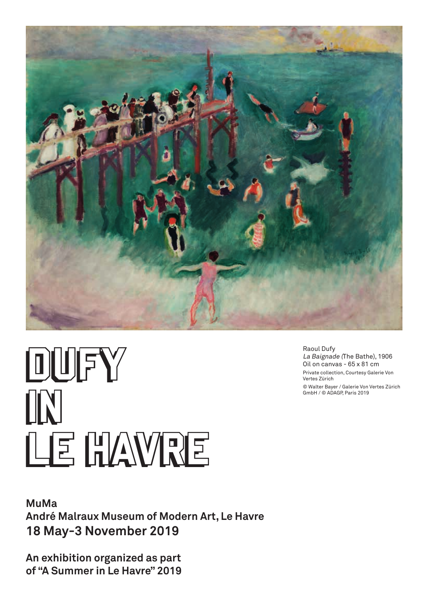

# DUFY DUFY IN IN LE HAVRE LE HAVRE

### **MuMa André Malraux Museum of Modern Art, Le Havre 18 May-3 November 2019**

**An exhibition organized as part**  of "A Summer in Le Havre" 2019 Raoul Dufy La Baignade (The Bathe), 1906 Oil on canvas - 65 x 81 cm Private collection, Courtesy Galerie Von Vertes Zürich © Walter Bayer / Galerie Von Vertes Zürich GmbH / © ADAGP, Paris 2019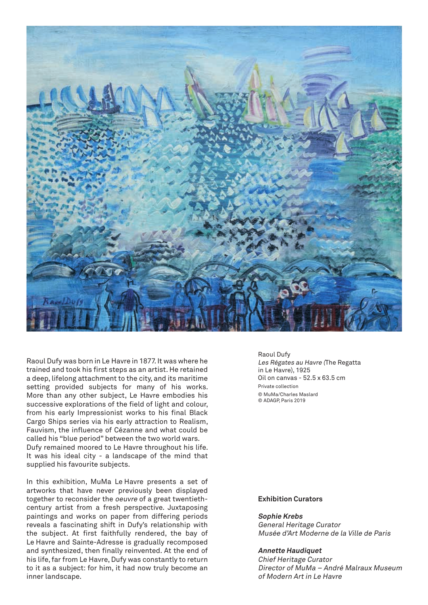

Raoul Dufy was born in Le Havre in 1877. It was where he trained and took his first steps as an artist. He retained a deep, lifelong attachment to the city, and its maritime setting provided subjects for many of his works. More than any other subject, Le Havre embodies his successive explorations of the field of light and colour, from his early Impressionist works to his final Black Cargo Ships series via his early attraction to Realism, Fauvism, the influence of Cézanne and what could be called his "blue period" between the two world wars. Dufy remained moored to Le Havre throughout his life. It was his ideal city - a landscape of the mind that supplied his favourite subjects.

In this exhibition, MuMa Le Havre presents a set of artworks that have never previously been displayed together to reconsider the oeuvre of a great twentiethcentury artist from a fresh perspective. Juxtaposing paintings and works on paper from differing periods reveals a fascinating shift in Dufy's relationship with the subject. At first faithfully rendered, the bay of Le Havre and Sainte-Adresse is gradually recomposed and synthesized, then finally reinvented. At the end of his life, far from Le Havre, Dufy was constantly to return to it as a subject: for him, it had now truly become an inner landscape.

Raoul Dufy Les Régates au Havre (The Regatta in Le Havre), 1925 Oil on canvas - 52.5 x 63.5 cm Private collection © MuMa/Charles Maslard © ADAGP, Paris 2019

#### **Exhibition Curators**

#### **Sophie Krebs**

General Heritage Curator Musée d'Art Moderne de la Ville de Paris

#### **Annette Haudiquet**

Chief Heritage Curator Director of MuMa – André Malraux Museum of Modern Art in Le Havre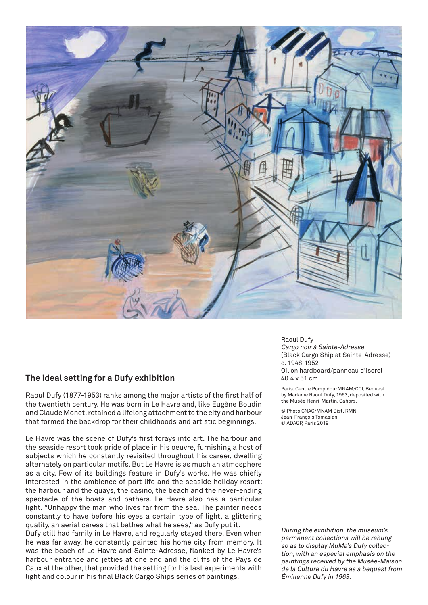

#### **The ideal setting for a Dufy exhibition**

Raoul Dufy (1877-1953) ranks among the major artists of the first half of the twentieth century. He was born in Le Havre and, like Eugène Boudin and Claude Monet, retained a lifelong attachment to the city and harbour that formed the backdrop for their childhoods and artistic beginnings.

Le Havre was the scene of Dufy's first forays into art. The harbour and the seaside resort took pride of place in his oeuvre, furnishing a host of subjects which he constantly revisited throughout his career, dwelling alternately on particular motifs. But Le Havre is as much an atmosphere as a city. Few of its buildings feature in Dufy's works. He was chiefly interested in the ambience of port life and the seaside holiday resort: the harbour and the quays, the casino, the beach and the never-ending spectacle of the boats and bathers. Le Havre also has a particular light. "Unhappy the man who lives far from the sea. The painter needs constantly to have before his eyes a certain type of light, a glittering quality, an aerial caress that bathes what he sees," as Dufy put it.

Dufy still had family in Le Havre, and regularly stayed there. Even when he was far away, he constantly painted his home city from memory. It was the beach of Le Havre and Sainte-Adresse, flanked by Le Havre's harbour entrance and jetties at one end and the cliffs of the Pays de Caux at the other, that provided the setting for his last experiments with light and colour in his final Black Cargo Ships series of paintings.

Raoul Dufy Cargo noir à Sainte-Adresse (Black Cargo Ship at Sainte-Adresse) c. 1948-1952 Oil on hardboard/panneau d'isorel 40.4 x 51 cm

Paris, Centre Pompidou-MNAM/CCI, Bequest by Madame Raoul Dufy, 1963, deposited with the Musée Henri-Martin, Cahors.

© Photo CNAC/MNAM Dist. RMN - Jean-François Tomasian © ADAGP, Paris 2019

During the exhibition, the museum's permanent collections will be rehung so as to display MuMa's Dufy collection, with an especial emphasis on the paintings received by the Musée-Maison de la Culture du Havre as a bequest from Émilienne Dufy in 1963.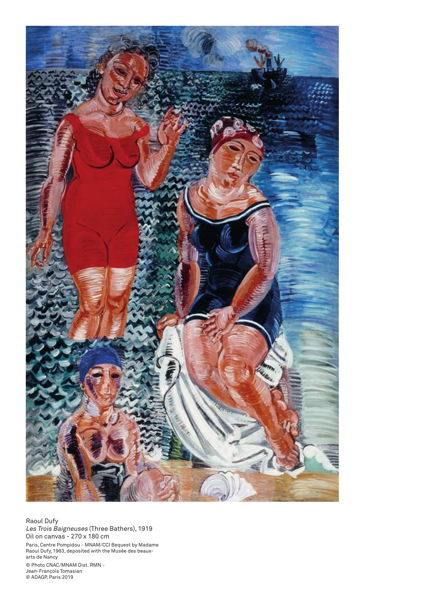

Raoul Dufy Les Trois Baigneuses (Three Bathers), 1919 Oil on canvas - 270 x 180 cm Paris, Centre Pompidou - MNAM/CCI Bequest by Madame Raoul Dufy, 1963, deposited with the Musée des beauxarts de Nancy © Photo CNAC/MNAM Dist. RMN - Jean-François Tomasian © ADAGP, Paris 2019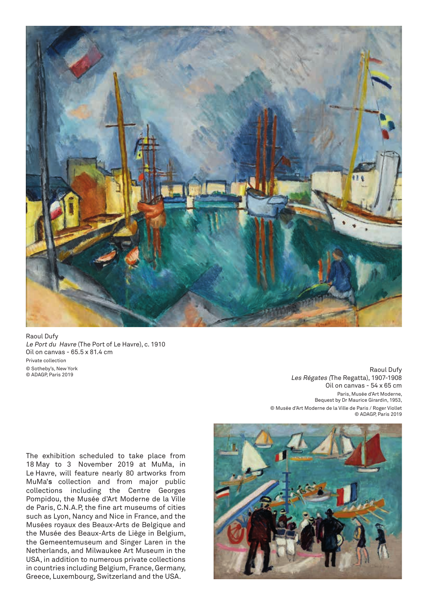

Raoul Dufy Le Port du Havre (The Port of Le Havre), c. 1910 Oil on canvas - 65.5 x 81.4 cm Private collection © Sotheby's, New York © ADAGP, Paris 2019

Raoul Dufy Les Régates (The Regatta), 1907-1908 Oil on canvas - 54 x 65 cm Paris, Musée d'Art Moderne, Bequest by Dr Maurice Girardin, 1953, © Musée d'Art Moderne de la Ville de Paris / Roger Viollet © ADAGP, Paris 2019

The exhibition scheduled to take place from 18 May to 3 November 2019 at MuMa, in Le Havre, will feature nearly 80 artworks from MuMa'**s** collection and from major public collections including the Centre Georges Pompidou, the Musée d'Art Moderne de la Ville de Paris, C.N.A.P, the fine art museums of cities such as Lyon, Nancy and Nice in France, and the Musées royaux des Beaux-Arts de Belgique and the Musée des Beaux-Arts de Liège in Belgium, the Gemeentemuseum and Singer Laren in the Netherlands, and Milwaukee Art Museum in the USA, in addition to numerous private collections in countries including Belgium, France, Germany, Greece, Luxembourg, Switzerland and the USA.

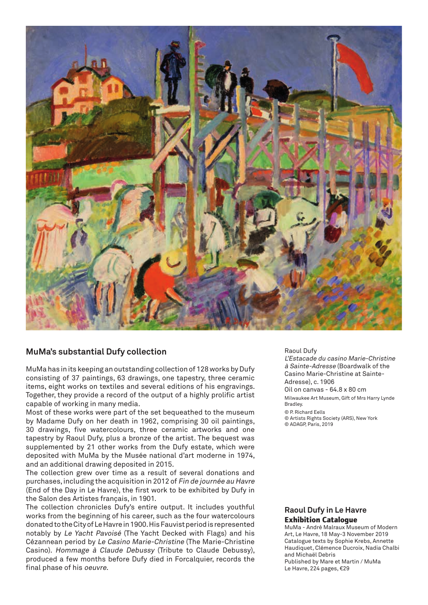

#### **MuMa's substantial Dufy collection**

MuMa has in its keeping an outstanding collection of 128 works by Dufy consisting of 37 paintings, 63 drawings, one tapestry, three ceramic items, eight works on textiles and several editions of his engravings. Together, they provide a record of the output of a highly prolific artist capable of working in many media.

Most of these works were part of the set bequeathed to the museum by Madame Dufy on her death in 1962, comprising 30 oil paintings, 30 drawings, five watercolours, three ceramic artworks and one tapestry by Raoul Dufy, plus a bronze of the artist. The bequest was supplemented by 21 other works from the Dufy estate, which were deposited with MuMa by the Musée national d'art moderne in 1974, and an additional drawing deposited in 2015.

The collection grew over time as a result of several donations and purchases, including the acquisition in 2012 of Fin de journée au Havre (End of the Day in Le Havre), the first work to be exhibited by Dufy in the Salon des Artistes français, in 1901.

The collection chronicles Dufy's entire output. It includes youthful works from the beginning of his career, such as the four watercolours donated to the City of Le Havre in 1900. His Fauvist period is represented notably by Le Yacht Pavoisé (The Yacht Decked with Flags) and his Cézannean period by Le Casino Marie-Christine (The Marie-Christine Casino). Hommage à Claude Debussy (Tribute to Claude Debussy), produced a few months before Dufy died in Forcalquier, records the final phase of his oeuvre.

#### Raoul Dufy

L'Estacade du casino Marie-Christine à Sainte-Adresse (Boardwalk of the Casino Marie-Christine at Sainte-Adresse), c. 1906 Oil on canvas - 64.8 x 80 cm Milwaukee Art Museum, Gift of Mrs Harry Lynde Bradley. © P. Richard Eells © Artists Rights Society (ARS), New York

© ADAGP, Paris, 2019

#### **Raoul Dufy in Le Havre Exhibition Catalogue**

MuMa - André Malraux Museum of Modern Art, Le Havre, 18 May-3 November 2019 Catalogue texts by Sophie Krebs, Annette Haudiquet, Clémence Ducroix, Nadia Chalbi and Michaël Debris Published by Mare et Martin / MuMa Le Havre, 224 pages, €29